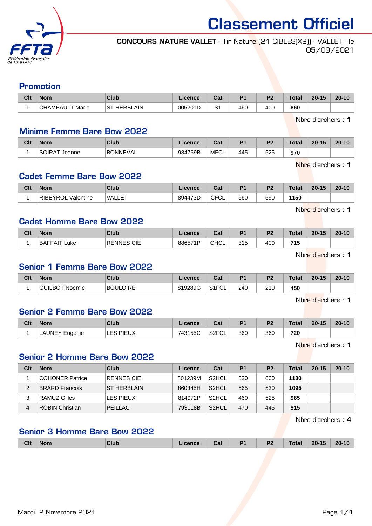

Classement Officiel

#### CONCOURS NATURE VALLET - Tir Nature (21 CIBLES(X2)) - VALLET - le 05/09/2021

#### Promotion

| Clt | 'Nom                              | Club                                             | $\blacktriangle$ rence | . הי<br>uau           | D <sub>4</sub> | D <sub>2</sub> | Total | $20 - 15$ | $20 - 10$ |
|-----|-----------------------------------|--------------------------------------------------|------------------------|-----------------------|----------------|----------------|-------|-----------|-----------|
|     | Marie<br>$\sim$<br><b>HAMBAUL</b> | <b>AIN</b><br><b>HERRI</b><br>$\sim$ $\tau$<br>C | 005201D                | $\sim$<br>ٮ<br>$\sim$ | 460            | 400            | 860   |           |           |

Nbre d'archers : 1

# Minime Femme Bare Bow 2022

| Clt | <b>Nom</b>                   | Club            | Licence | $\sim$<br>ua  | D <sub>1</sub> | D <sub>2</sub> | $T_{\alpha}$ ial<br>υιαι | 20.4E<br>zv. | $20 - 10$ |
|-----|------------------------------|-----------------|---------|---------------|----------------|----------------|--------------------------|--------------|-----------|
|     | SOIRA <sup>T</sup><br>Jeanne | <b>BONNEVAL</b> | 984769B | . MFC'<br>ັບ∟ | 445            | 525            | 970                      |              |           |

Nbre d'archers : 1

# Cadet Femme Bare Bow 2022

| Clt | <b>Nom</b>                   | Club       | Licence | <b>DAL</b><br>⊍a       | D <sub>4</sub> | D <sub>2</sub> | <b>Total</b> | $20 - 15$ | $20 - 10$ |
|-----|------------------------------|------------|---------|------------------------|----------------|----------------|--------------|-----------|-----------|
|     | <b>RIBEYROI</b><br>Valentine | E<br>VALLE | 894473D | <b>CECI</b><br>◡<br>◡∟ | 560            | 590            | 1150         |           |           |

Nbre d'archers : 1

#### Cadet Homme Bare Bow 2022

| Clt | <b>Nom</b>             | Club              | Licence | ົ່<br>ual   | D <sub>1</sub> | P <sub>2</sub>  | <b>Total</b> | $20 - 15$ | $20 - 10$ |
|-----|------------------------|-------------------|---------|-------------|----------------|-----------------|--------------|-----------|-----------|
|     | <b>BAFFAIT</b><br>∟uke | <b>RENNES CIE</b> | 886571P | <b>CHCL</b> | 315<br>ں ا ب   | 40 <sub>C</sub> | 715          |           |           |

Nbre d'archers : 1

# Senior 1 Femme Bare Bow 2022

| Clt | <b>Nom</b>               | Club     | Licence | $R_{\rm eff}$<br>ual   | D <sub>4</sub> | n.  | Total | $20 - 15$ | $20 - 10$ |
|-----|--------------------------|----------|---------|------------------------|----------------|-----|-------|-----------|-----------|
|     | <b>GUILBOT</b><br>Noemie | BOULOIRE | 819289G | 0.4501<br>−∪∟<br>، ، ب | 240            | 210 | 450   |           |           |

Nbre d'archers : 1

# Senior 2 Femme Bare Bow 2022

| Clt | <b>Nom</b>          | Club                | Licence | Cat                | D <sub>4</sub> | D <sub>2</sub> | Total | $20 - 15$ | $20 - 10$ |
|-----|---------------------|---------------------|---------|--------------------|----------------|----------------|-------|-----------|-----------|
|     | ⊥AUNEY ⊑<br>Eugenie | LES<br><b>PIEUX</b> | 743155C | S <sub>2</sub> FCL | 360            | 360            | 720   |           |           |

Nbre d'archers : 1

### Senior 2 Homme Bare Bow 2022

| Clt | <b>Nom</b>             | Club               | Licence | Cat                | P <sub>1</sub> | P <sub>2</sub> | Total | $20 - 15$ | $20 - 10$ |
|-----|------------------------|--------------------|---------|--------------------|----------------|----------------|-------|-----------|-----------|
|     | COHONER Patrice        | RENNES CIE         | 801239M | S <sub>2</sub> HCL | 530            | 600            | 1130  |           |           |
| 2   | <b>BRARD Francois</b>  | <b>ST HERBLAIN</b> | 860345H | S <sub>2</sub> HCL | 565            | 530            | 1095  |           |           |
| 3   | RAMUZ Gilles           | <b>LES PIEUX</b>   | 814972P | S <sub>2</sub> HCL | 460            | 525            | 985   |           |           |
| 4   | <b>ROBIN Christian</b> | PEILLAC            | 793018B | S <sub>2</sub> HCL | 470            | 445            | 915   |           |           |

Nbre d'archers : 4

### Senior 3 Homme Bare Bow 2022

| <b>Clt</b><br>D <sub>1</sub><br>P <sub>2</sub><br>4E<br>20 <sub>1</sub><br>$20 - 10$<br>Club<br>. otal<br><b>Nom</b><br>$i$ annan<br>. .<br>va.<br>. . |
|--------------------------------------------------------------------------------------------------------------------------------------------------------|
|--------------------------------------------------------------------------------------------------------------------------------------------------------|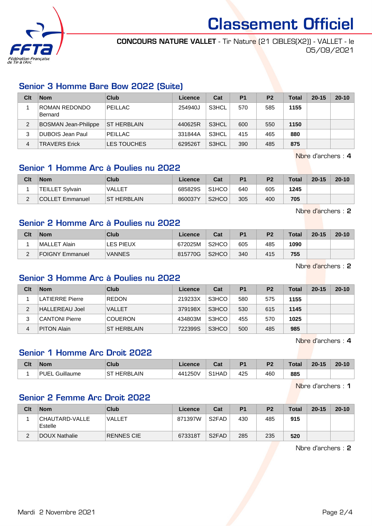

Classement Officiel

CONCOURS NATURE VALLET - Tir Nature (21 CIBLES(X2)) - VALLET - le 05/09/2021

# Senior 3 Homme Bare Bow 2022 (Suite)

| Clt | <b>Nom</b>               | Club               | Licence | Cat   | P <sub>1</sub> | P <sub>2</sub> | <b>Total</b> | $20 - 15$ | $20 - 10$ |
|-----|--------------------------|--------------------|---------|-------|----------------|----------------|--------------|-----------|-----------|
|     | ROMAN REDONDO<br>Bernard | PEILLAC            | 254940J | S3HCL | 570            | 585            | 1155         |           |           |
| 2   | BOSMAN Jean-Philippe     | <b>ST HERBLAIN</b> | 440625R | S3HCL | 600            | 550            | 1150         |           |           |
| 3   | DUBOIS Jean Paul         | PEILLAC            | 331844A | S3HCL | 415            | 465            | 880          |           |           |
| 4   | <b>TRAVERS Erick</b>     | <b>LES TOUCHES</b> | 629526T | S3HCL | 390            | 485            | 875          |           |           |

Nbre d'archers : 4

# Senior 1 Homme Arc à Poulies nu 2022

| Clt    | <b>Nom</b>             | Club               | Licence | Cat                | P <sub>1</sub> | P <sub>2</sub> | Total | $20 - 15$ | $20 - 10$ |
|--------|------------------------|--------------------|---------|--------------------|----------------|----------------|-------|-----------|-----------|
|        | <b>TEILLET Sylvain</b> | VALLET             | 685829S | S <sub>1</sub> HCO | 640            | 605            | 1245  |           |           |
| $\sim$ | COLLET Emmanuel        | <b>ST HERBLAIN</b> | 860037Y | S <sub>2</sub> HCO | 305            | 400            | 705   |           |           |

Nbre d'archers : 2

#### Senior 2 Homme Arc à Poulies nu 2022

| Clt | <b>Nom</b>      | Club             | Licence | Cat                | P <sub>1</sub> | P <sub>2</sub> | Total | $20 - 15$ | $20 - 10$ |
|-----|-----------------|------------------|---------|--------------------|----------------|----------------|-------|-----------|-----------|
|     | MALLET Alain    | <b>LES PIEUX</b> | 672025M | S <sub>2</sub> HCO | 605            | 485            | 1090  |           |           |
| ີ   | FOIGNY Emmanuel | <b>VANNES</b>    | 815770G | S <sub>2</sub> HCO | 340            | 415            | 755   |           |           |

Nbre d'archers : 2

# Senior 3 Homme Arc à Poulies nu 2022

| Clt | <b>Nom</b>             | Club               | Licence | Cat   | P <sub>1</sub> | <b>P2</b> | Total | $20 - 15$ | $20 - 10$ |
|-----|------------------------|--------------------|---------|-------|----------------|-----------|-------|-----------|-----------|
|     | <b>LATIERRE Pierre</b> | <b>REDON</b>       | 219233X | S3HCO | 580            | 575       | 1155  |           |           |
| 2   | HALLEREAU Joel         | <b>VALLET</b>      | 379198X | S3HCO | 530            | 615       | 1145  |           |           |
| 3   | <b>CANTONI Pierre</b>  | <b>COUERON</b>     | 434803M | S3HCO | 455            | 570       | 1025  |           |           |
| 4   | <b>PITON Alain</b>     | <b>ST HERBLAIN</b> | 722399S | S3HCO | 500            | 485       | 985   |           |           |

Nbre d'archers : 4

# Senior 1 Homme Arc Droit 2022

| Clt | <b>Nom</b>        | Club           | Licence | <b>Post</b><br>υa | D <sub>4</sub> | D <sub>2</sub> | <b>Total</b> | $20 - 15$ | $20 - 10$ |
|-----|-------------------|----------------|---------|-------------------|----------------|----------------|--------------|-----------|-----------|
|     | PHFL<br>Guillaume | HERBLAIN<br>ST | 441250V | S1HAD             | 425<br>$\sim$  | 460            | 885          |           |           |

Nbre d'archers : 1

#### Senior 2 Femme Arc Droit 2022

| Clt    | <b>Nom</b>                 | Club       | Licence | Cat                            | P1  | P <sub>2</sub> | <b>Total</b> | $20 - 15$ | $20 - 10$ |
|--------|----------------------------|------------|---------|--------------------------------|-----|----------------|--------------|-----------|-----------|
|        | CHAUTARD-VALLE <br>Estelle | VALLET     | 871397W | S <sub>2</sub> F <sub>AD</sub> | 430 | 485            | 915          |           |           |
| ◠<br>∠ | DOUX Nathalie              | RENNES CIE | 673318T | S <sub>2</sub> FAD             | 285 | 235            | 520          |           |           |

Nbre d'archers : 2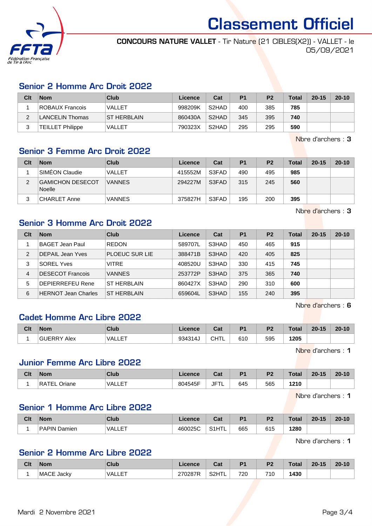

Classement Officiel

CONCOURS NATURE VALLET - Tir Nature (21 CIBLES(X2)) - VALLET - le 05/09/2021

# Senior 2 Homme Arc Droit 2022

| Clt | <b>Nom</b>              | Club               | Licence | Cat                | P <sub>1</sub> | P <sub>2</sub> | <b>Total</b> | $20 - 15$ | $20 - 10$ |
|-----|-------------------------|--------------------|---------|--------------------|----------------|----------------|--------------|-----------|-----------|
|     | ROBAUX Francois         | VALLET             | 998209K | S <sub>2</sub> HAD | 400            | 385            | 785          |           |           |
|     | <b>LANCELIN Thomas</b>  | <b>ST HERBLAIN</b> | 860430A | S <sub>2</sub> HAD | 345            | 395            | 740          |           |           |
|     | <b>TEILLET Philippe</b> | VALLET             | 790323X | S <sub>2</sub> HAD | 295            | 295            | 590          |           |           |

Nbre d'archers : 3

# Senior 3 Femme Arc Droit 2022

| Clt | <b>Nom</b>                        | Club          | Licence | Cat   | P <sub>1</sub> | P <sub>2</sub> | <b>Total</b> | $20 - 15$ | $20 - 10$ |
|-----|-----------------------------------|---------------|---------|-------|----------------|----------------|--------------|-----------|-----------|
|     | SIMEON Claudie                    | VALLET        | 415552M | S3FAD | 490            | 495            | 985          |           |           |
| っ   | GAMICHON DESECOT<br><b>Noelle</b> | <b>VANNES</b> | 294227M | S3FAD | 315            | 245            | 560          |           |           |
| 2   | <b>CHARLET Anne</b>               | <b>VANNES</b> | 375827H | S3FAD | 195            | 200            | 395          |           |           |

Nbre d'archers : 3

# Senior 3 Homme Arc Droit 2022

| Clt            | <b>Nom</b>                 | Club                  | Licence | Cat   | P <sub>1</sub> | P <sub>2</sub> | Total | $20 - 15$ | $20 - 10$ |
|----------------|----------------------------|-----------------------|---------|-------|----------------|----------------|-------|-----------|-----------|
|                | BAGET Jean Paul            | <b>REDON</b>          | 589707L | S3HAD | 450            | 465            | 915   |           |           |
| $\mathfrak{p}$ | <b>DEPAIL Jean Yves</b>    | <b>PLOEUC SUR LIE</b> | 388471B | S3HAD | 420            | 405            | 825   |           |           |
| 3              | <b>SOREL Yves</b>          | <b>VITRE</b>          | 408520U | S3HAD | 330            | 415            | 745   |           |           |
| 4              | <b>DESECOT Francois</b>    | <b>VANNES</b>         | 253772P | S3HAD | 375            | 365            | 740   |           |           |
| 5              | <b>DEPIERREFEU Rene</b>    | ST HERBLAIN           | 860427X | S3HAD | 290            | 310            | 600   |           |           |
| 6              | <b>HERNOT Jean Charles</b> | <b>ST HERBLAIN</b>    | 659604L | S3HAD | 155            | 240            | 395   |           |           |

Nbre d'archers : 6

### Cadet Homme Arc Libre 2022

| Clt | <b>Nom</b>     | Club          | Licence | Cat      | D4  | D0  | Total      | $-15$<br>$20 -$ | $20 - 10$ |
|-----|----------------|---------------|---------|----------|-----|-----|------------|-----------------|-----------|
|     | Alex<br>GUERRY | IET<br>™ALL∟. | 934314  | CUT<br>. | 610 | 595 | 1205<br>__ |                 |           |

Nbre d'archers : 1

#### Junior Femme Arc Libre 2022

| Clt | <b>Nom</b>                   | Club            | Licence | $P - 1$<br>ual | D <sub>1</sub> | D <sub>2</sub> | <b>Total</b> | $20 - 15$ | $20 - 10$ |
|-----|------------------------------|-----------------|---------|----------------|----------------|----------------|--------------|-----------|-----------|
|     | <sup>1</sup> RATEL<br>Oriane | 工厂工<br>'VALLE . | 804545F | JFT'<br>ΙL     | 645            | 565            | 1210<br>__   |           |           |

Nbre d'archers : 1

# Senior 1 Homme Arc Libre 2022

| Clt | <b>Nom</b>             | <b>Club</b>   | Licence | <b>Table</b><br>udl | D <sub>4</sub> | D <sub>2</sub> | <b>Total</b> | $20 - 15$ | $20 - 10$ |
|-----|------------------------|---------------|---------|---------------------|----------------|----------------|--------------|-----------|-----------|
|     | <b>PAPIN</b><br>Damien | ET<br>'VALLE. | 460025C | S1HTL               | 665            | 615            | 1280         |           |           |

Nbre d'archers : 1

# Senior 2 Homme Arc Libre 2022

| Clt | <b>Nom</b> | Club         | <b>Licence</b>     | ่ ^ีี∼<br>vau                  | P <sub>1</sub> | D0<br>- | <b>Total</b> | $20 - 15$ | $20 - 10$ |
|-----|------------|--------------|--------------------|--------------------------------|----------------|---------|--------------|-----------|-----------|
|     | MACE Jacky | EТ<br>VALLE. | חדמממדמ<br>270287R | <b>IT </b><br>S <sub>2</sub> H | 720            | 710     | 1430         |           |           |